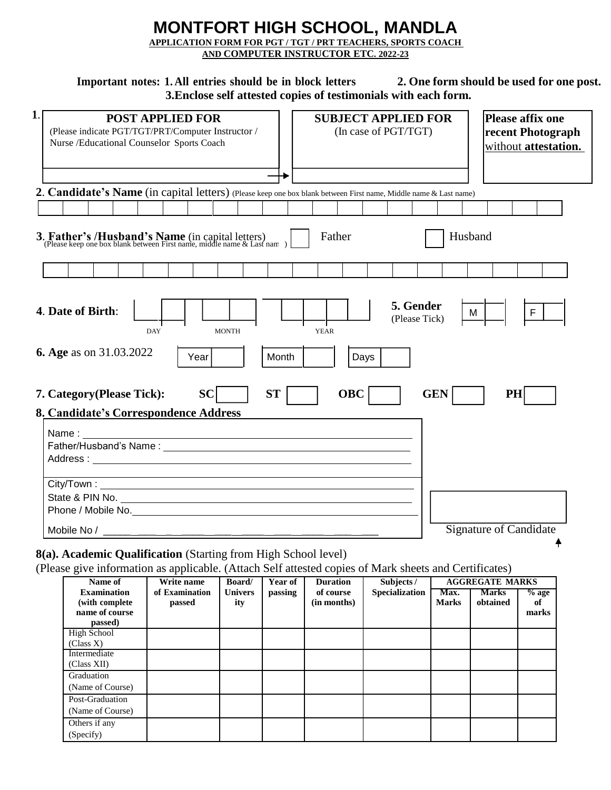# **MONTFORT HIGH SCHOOL, MANDLA APPLICATION FORM FOR PGT / TGT / PRT TEACHERS, SPORTS COACH**

**AND COMPUTER INSTRUCTOR ETC. 2022-23**

Important notes: 1. All entries should be in block letters 2. One form should be used for one post. **3.Enclose self attested copies of testimonials with each form.**

| 1. | <b>POST APPLIED FOR</b><br>(Please indicate PGT/TGT/PRT/Computer Instructor /<br>Nurse /Educational Counselor Sports Coach                                                                                                                                  | <b>SUBJECT APPLIED FOR</b><br>Please affix one<br>(In case of PGT/TGT)<br>recent Photograph<br>without attestation. |  |  |  |  |  |  |  |
|----|-------------------------------------------------------------------------------------------------------------------------------------------------------------------------------------------------------------------------------------------------------------|---------------------------------------------------------------------------------------------------------------------|--|--|--|--|--|--|--|
|    |                                                                                                                                                                                                                                                             |                                                                                                                     |  |  |  |  |  |  |  |
|    | 2. Candidate's Name (in capital letters) (Please keep one box blank between First name, Middle name & Last name)                                                                                                                                            |                                                                                                                     |  |  |  |  |  |  |  |
|    | 3. Father's /Husband's Name (in capital letters)<br>(Please keep one box blank between First name, middle name & Last nam)                                                                                                                                  | Father<br>Husband                                                                                                   |  |  |  |  |  |  |  |
|    |                                                                                                                                                                                                                                                             |                                                                                                                     |  |  |  |  |  |  |  |
|    | 5. Gender<br>4. Date of Birth:<br>M<br>F<br>(Please Tick)<br><b>MONTH</b><br><b>YEAR</b><br><b>DAY</b><br><b>6. Age</b> as on 31.03.2022<br>Month<br>Year<br>Days<br><b>SC</b><br><b>ST</b><br><b>OBC</b><br><b>GEN</b><br>PH<br>7. Category (Please Tick): |                                                                                                                     |  |  |  |  |  |  |  |
|    | 8. Candidate's Correspondence Address                                                                                                                                                                                                                       |                                                                                                                     |  |  |  |  |  |  |  |
|    | Name:<br><u> 1980 - Andrea Barbara, amerikan personal (h. 1980).</u>                                                                                                                                                                                        |                                                                                                                     |  |  |  |  |  |  |  |
|    |                                                                                                                                                                                                                                                             |                                                                                                                     |  |  |  |  |  |  |  |
|    |                                                                                                                                                                                                                                                             | <b>Signature of Candidate</b>                                                                                       |  |  |  |  |  |  |  |

## **8(a). Academic Qualification** (Starting from High School level)

(Please give information as applicable. (Attach Self attested copies of Mark sheets and Certificates)

| Name of                                                            | . .<br>Write name        | <b>Board</b>          | Year of | <b>Duration</b>          | Subjects /     |                      | <b>AGGREGATE MARKS</b>   |                        |
|--------------------------------------------------------------------|--------------------------|-----------------------|---------|--------------------------|----------------|----------------------|--------------------------|------------------------|
| <b>Examination</b><br>(with complete)<br>name of course<br>passed) | of Examination<br>passed | <b>Univers</b><br>ity | passing | of course<br>(in months) | Specialization | Max.<br><b>Marks</b> | <b>Marks</b><br>obtained | $%$ age<br>оf<br>marks |
| <b>High School</b><br>(Class X)                                    |                          |                       |         |                          |                |                      |                          |                        |
| Intermediate<br>(Class XII)                                        |                          |                       |         |                          |                |                      |                          |                        |
| Graduation<br>(Name of Course)                                     |                          |                       |         |                          |                |                      |                          |                        |
| Post-Graduation<br>(Name of Course)                                |                          |                       |         |                          |                |                      |                          |                        |
| Others if any<br>(Specify)                                         |                          |                       |         |                          |                |                      |                          |                        |